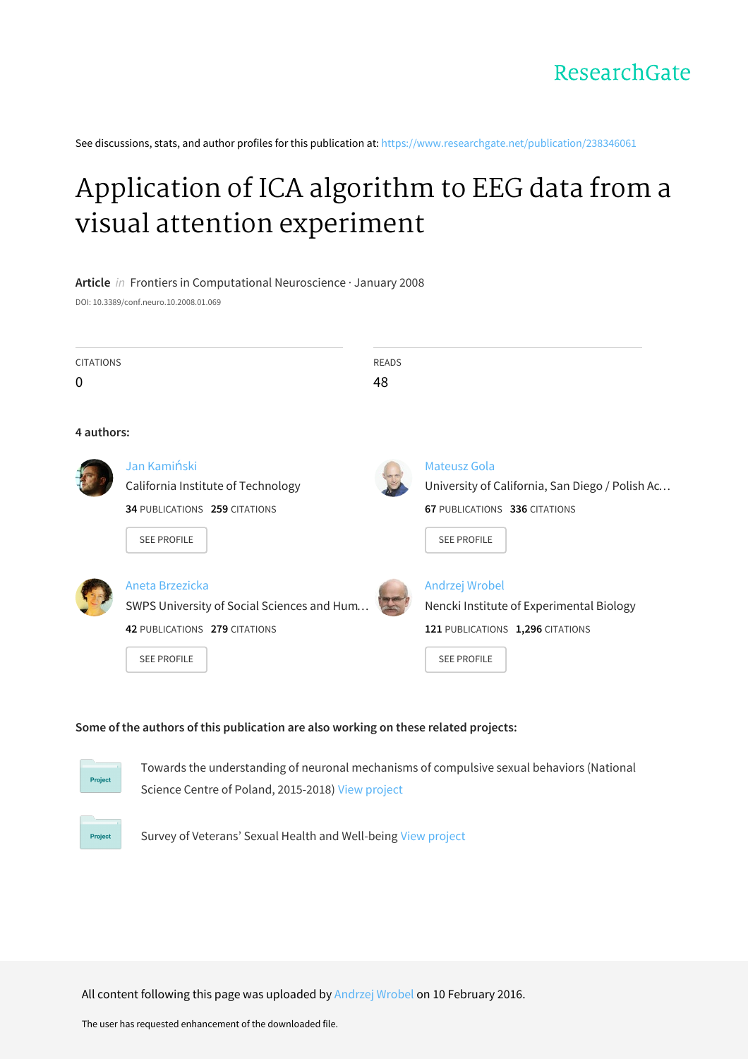See discussions, stats, and author profiles for this publication at: https://www.researchgate.net/publication/238346061

## Application of ICA algorithm to EEG data from a visual attention experiment

## **Article** in Frontiers in Computational Neuroscience · January 2008

DOI: 10.3389/conf.neuro.10.2008.01.069

| <b>CITATIONS</b> |                                                                                                                      | <b>READS</b> |                                                                                                                               |
|------------------|----------------------------------------------------------------------------------------------------------------------|--------------|-------------------------------------------------------------------------------------------------------------------------------|
| 0                |                                                                                                                      | 48           |                                                                                                                               |
| 4 authors:       |                                                                                                                      |              |                                                                                                                               |
|                  | Jan Kamiński<br>California Institute of Technology<br>34 PUBLICATIONS 259 CITATIONS<br>SEE PROFILE                   |              | Mateusz Gola<br>University of California, San Diego / Polish Ac<br><b>67 PUBLICATIONS 336 CITATIONS</b><br><b>SEE PROFILE</b> |
|                  | Aneta Brzezicka<br>SWPS University of Social Sciences and Hum<br>42 PUBLICATIONS 279 CITATIONS<br><b>SEE PROFILE</b> |              | Andrzej Wrobel<br>Nencki Institute of Experimental Biology<br>121 PUBLICATIONS 1,296 CITATIONS<br><b>SEE PROFILE</b>          |

## **Some of the authors of this publication are also working on these related projects:**



Towards the understanding of neuronal mechanisms of compulsive sexual behaviors (National Science Centre of Poland, 2015-2018) View project



Survey of Veterans' Sexual Health and Well-being View project

All content following this page was uploaded by Andrzej Wrobel on 10 February 2016.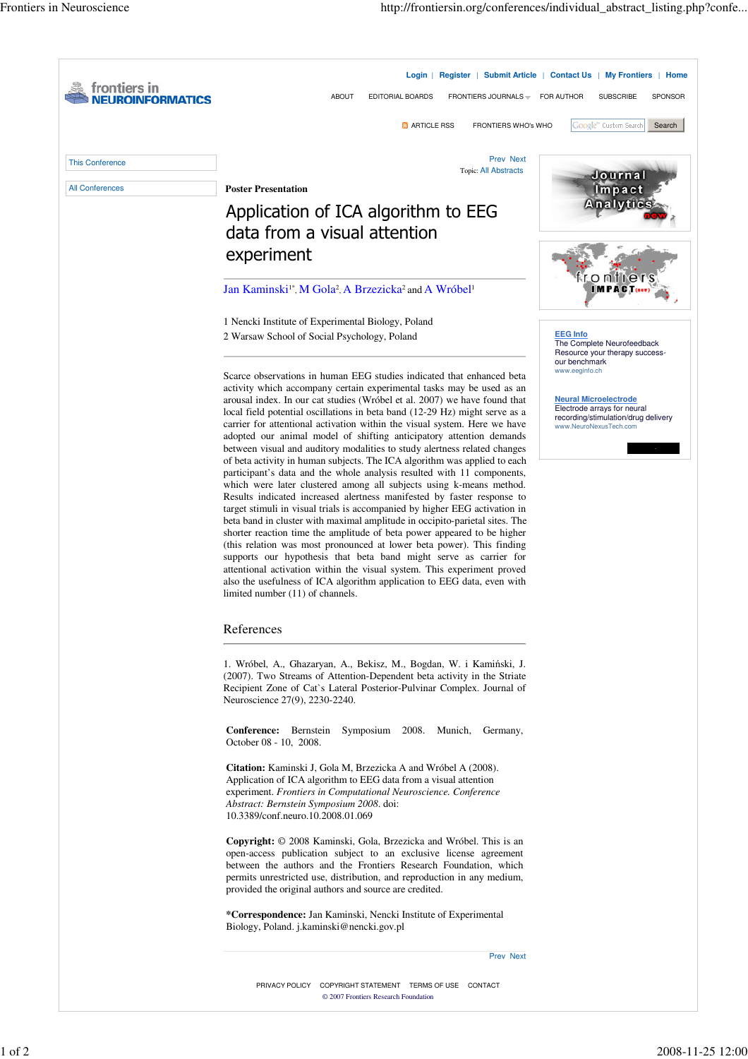| frontiers in           | FRONTIERS JOURNALS =                                                                                                                                                                                                                                                                                                                                                                                                                                                                                                                                                                                                                                                                                                                                                                                                                                                                                                                                                                                                                                                                                                                                                                                                                                                                                                                                                                                                                | Login   Register   Submit Article   Contact Us   My Frontiers   Home                                                                           |
|------------------------|-------------------------------------------------------------------------------------------------------------------------------------------------------------------------------------------------------------------------------------------------------------------------------------------------------------------------------------------------------------------------------------------------------------------------------------------------------------------------------------------------------------------------------------------------------------------------------------------------------------------------------------------------------------------------------------------------------------------------------------------------------------------------------------------------------------------------------------------------------------------------------------------------------------------------------------------------------------------------------------------------------------------------------------------------------------------------------------------------------------------------------------------------------------------------------------------------------------------------------------------------------------------------------------------------------------------------------------------------------------------------------------------------------------------------------------|------------------------------------------------------------------------------------------------------------------------------------------------|
| ORMATICS               | <b>ABOUT</b><br>EDITORIAL BOARDS<br><b>M</b> ARTICLE RSS<br>FRONTIERS WHO's WHO                                                                                                                                                                                                                                                                                                                                                                                                                                                                                                                                                                                                                                                                                                                                                                                                                                                                                                                                                                                                                                                                                                                                                                                                                                                                                                                                                     | FOR AUTHOR<br><b>SUBSCRIBE</b><br>SPONSOR<br>Google <sup>m</sup> Custom Search<br>Search                                                       |
| <b>This Conference</b> | Prev Next                                                                                                                                                                                                                                                                                                                                                                                                                                                                                                                                                                                                                                                                                                                                                                                                                                                                                                                                                                                                                                                                                                                                                                                                                                                                                                                                                                                                                           |                                                                                                                                                |
| <b>All Conferences</b> | <b>Topic: All Abstracts</b><br><b>Poster Presentation</b>                                                                                                                                                                                                                                                                                                                                                                                                                                                                                                                                                                                                                                                                                                                                                                                                                                                                                                                                                                                                                                                                                                                                                                                                                                                                                                                                                                           | Journal<br>Impact                                                                                                                              |
|                        | Application of ICA algorithm to EEG                                                                                                                                                                                                                                                                                                                                                                                                                                                                                                                                                                                                                                                                                                                                                                                                                                                                                                                                                                                                                                                                                                                                                                                                                                                                                                                                                                                                 | <b>Analytics</b>                                                                                                                               |
|                        | data from a visual attention                                                                                                                                                                                                                                                                                                                                                                                                                                                                                                                                                                                                                                                                                                                                                                                                                                                                                                                                                                                                                                                                                                                                                                                                                                                                                                                                                                                                        |                                                                                                                                                |
|                        | experiment                                                                                                                                                                                                                                                                                                                                                                                                                                                                                                                                                                                                                                                                                                                                                                                                                                                                                                                                                                                                                                                                                                                                                                                                                                                                                                                                                                                                                          |                                                                                                                                                |
|                        | Jan Kaminski <sup>1*</sup> , M Gola <sup>2</sup> , A Brzezicka <sup>2</sup> and A Wróbel <sup>1</sup>                                                                                                                                                                                                                                                                                                                                                                                                                                                                                                                                                                                                                                                                                                                                                                                                                                                                                                                                                                                                                                                                                                                                                                                                                                                                                                                               |                                                                                                                                                |
|                        |                                                                                                                                                                                                                                                                                                                                                                                                                                                                                                                                                                                                                                                                                                                                                                                                                                                                                                                                                                                                                                                                                                                                                                                                                                                                                                                                                                                                                                     |                                                                                                                                                |
|                        | 1 Nencki Institute of Experimental Biology, Poland                                                                                                                                                                                                                                                                                                                                                                                                                                                                                                                                                                                                                                                                                                                                                                                                                                                                                                                                                                                                                                                                                                                                                                                                                                                                                                                                                                                  | <b>EEG Info</b>                                                                                                                                |
|                        | 2 Warsaw School of Social Psychology, Poland                                                                                                                                                                                                                                                                                                                                                                                                                                                                                                                                                                                                                                                                                                                                                                                                                                                                                                                                                                                                                                                                                                                                                                                                                                                                                                                                                                                        | The Complete Neurofeedback<br>Resource your therapy success-<br>our benchmark                                                                  |
|                        | Scarce observations in human EEG studies indicated that enhanced beta<br>activity which accompany certain experimental tasks may be used as an<br>arousal index. In our cat studies (Wróbel et al. 2007) we have found that<br>local field potential oscillations in beta band (12-29 Hz) might serve as a<br>carrier for attentional activation within the visual system. Here we have<br>adopted our animal model of shifting anticipatory attention demands<br>between visual and auditory modalities to study alertness related changes<br>of beta activity in human subjects. The ICA algorithm was applied to each<br>participant's data and the whole analysis resulted with 11 components,<br>which were later clustered among all subjects using k-means method.<br>Results indicated increased alertness manifested by faster response to<br>target stimuli in visual trials is accompanied by higher EEG activation in<br>beta band in cluster with maximal amplitude in occipito-parietal sites. The<br>shorter reaction time the amplitude of beta power appeared to be higher<br>(this relation was most pronounced at lower beta power). This finding<br>supports our hypothesis that beta band might serve as carrier for<br>attentional activation within the visual system. This experiment proved<br>also the usefulness of ICA algorithm application to EEG data, even with<br>limited number (11) of channels. | www.eeginfo.ch<br><b>Neural Microelectrode</b><br>Electrode arrays for neural<br>recording/stimulation/drug delivery<br>www.NeuroNexusTech.com |
|                        | References<br>1. Wróbel, A., Ghazaryan, A., Bekisz, M., Bogdan, W. i Kamiński, J.                                                                                                                                                                                                                                                                                                                                                                                                                                                                                                                                                                                                                                                                                                                                                                                                                                                                                                                                                                                                                                                                                                                                                                                                                                                                                                                                                   |                                                                                                                                                |
|                        | (2007). Two Streams of Attention-Dependent beta activity in the Striate<br>Recipient Zone of Cat's Lateral Posterior-Pulvinar Complex. Journal of<br>Neuroscience 27(9), 2230-2240.                                                                                                                                                                                                                                                                                                                                                                                                                                                                                                                                                                                                                                                                                                                                                                                                                                                                                                                                                                                                                                                                                                                                                                                                                                                 |                                                                                                                                                |
|                        | <b>Conference:</b> Bernstein Symposium 2008. Munich,<br>Germany,<br>October 08 - 10, 2008.                                                                                                                                                                                                                                                                                                                                                                                                                                                                                                                                                                                                                                                                                                                                                                                                                                                                                                                                                                                                                                                                                                                                                                                                                                                                                                                                          |                                                                                                                                                |
|                        | <b>Citation:</b> Kaminski J, Gola M, Brzezicka A and Wróbel A (2008).<br>Application of ICA algorithm to EEG data from a visual attention<br>experiment. Frontiers in Computational Neuroscience. Conference<br><i>Abstract: Bernstein Symposium 2008. doi:</i><br>10.3389/conf.neuro.10.2008.01.069                                                                                                                                                                                                                                                                                                                                                                                                                                                                                                                                                                                                                                                                                                                                                                                                                                                                                                                                                                                                                                                                                                                                |                                                                                                                                                |
|                        | <b>Copyright:</b> © 2008 Kaminski, Gola, Brzezicka and Wróbel. This is an<br>open-access publication subject to an exclusive license agreement<br>between the authors and the Frontiers Research Foundation, which<br>permits unrestricted use, distribution, and reproduction in any medium,<br>provided the original authors and source are credited.                                                                                                                                                                                                                                                                                                                                                                                                                                                                                                                                                                                                                                                                                                                                                                                                                                                                                                                                                                                                                                                                             |                                                                                                                                                |
|                        | *Correspondence: Jan Kaminski, Nencki Institute of Experimental<br>Biology, Poland. j.kaminski@nencki.gov.pl                                                                                                                                                                                                                                                                                                                                                                                                                                                                                                                                                                                                                                                                                                                                                                                                                                                                                                                                                                                                                                                                                                                                                                                                                                                                                                                        |                                                                                                                                                |
|                        | <b>Prev Next</b>                                                                                                                                                                                                                                                                                                                                                                                                                                                                                                                                                                                                                                                                                                                                                                                                                                                                                                                                                                                                                                                                                                                                                                                                                                                                                                                                                                                                                    |                                                                                                                                                |
|                        | PRIVACY POLICY COPYRIGHT STATEMENT TERMS OF USE CONTACT<br>© 2007 Frontiers Research Foundation                                                                                                                                                                                                                                                                                                                                                                                                                                                                                                                                                                                                                                                                                                                                                                                                                                                                                                                                                                                                                                                                                                                                                                                                                                                                                                                                     |                                                                                                                                                |